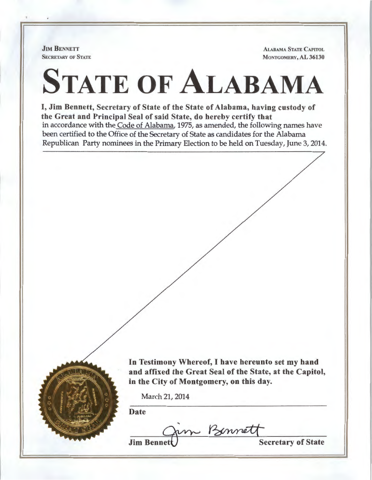**JIM BENNETT** SECRETARY OF STATE

ALABAMA STATE CAPITOL MONTGOMERY, AL 36130

## STATE OF ALABAMA

I, Jim Bennett, Secretary of State of the State of Alabama, having custody of the Great and Principal Seal of said State, do hereby certify that in accordance with the Code of Alabama, 1975, as amended, the following names have been certified to the Office of the Secretary of State as candidates for the Alabama Republican Party nominees in the Primary Election to be held on Tuesday, June 3, 2014.



In Testimony Whereof, I have hereunto set my hand and affixed the Great Seal of the State, at the Capitol, in the City of Montgomery, on this day.

March 21, 2014

Date

m Bennett<br>Secretary of State

**Jim Benne**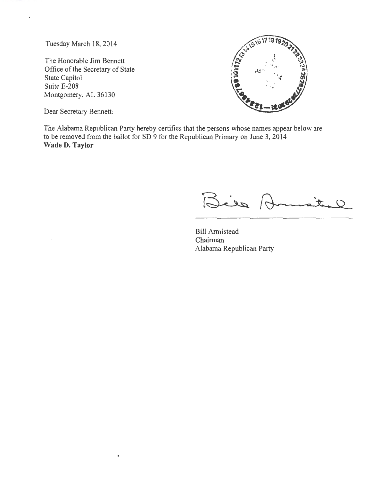Tuesday March 18, 2014

The Honorable Jim Bennett Office of the Secretary of State State Capitol Suite E-208 Montgomery, AL 36130



Dear Secretary Bennett:

The Alabama Republican Party hereby certifies that the persons whose names appear below are to be removed from the ballot for SD 9 for the Republican Primary on June 3, 2014 **Wade D. Taylor** 

Bies R lite

Bill Armistead Chairman Alabama Republican Party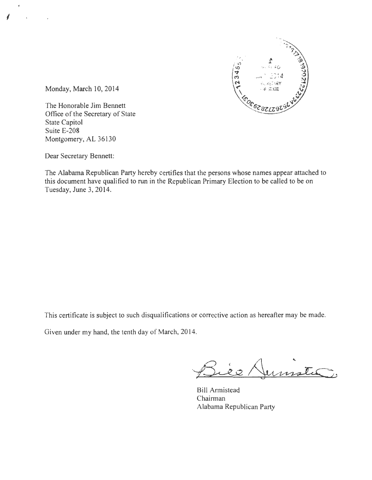

Monday, March 10, 2014

 $\sqrt{2}$ 

The Honorable Jim Bennett Office of the Secretary of State State Capitol Suite E-208 Montgomery, AL 36130

Dear Secretary Bennett:

The Alabama Republican Party hereby certifies that the persons whose names appear attached to this document have qualified to run in the Republican Primary Election to be called to be on Tuesday, June 3, 2014.

This certificate is subject to such disqualifications or corrective action as hereafter may be made.

Given under my hand, the tenth day of March, 2014.

Jumster,

Bill Armistead Chairman Alabama Republican Party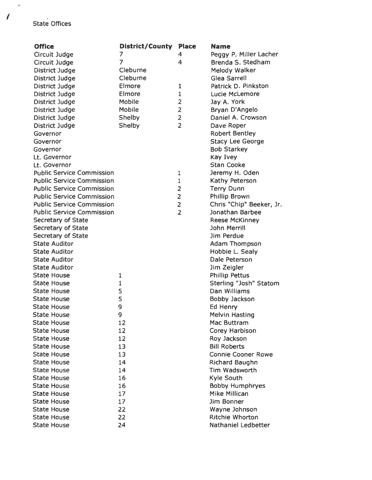## State Offices

..

I

| <b>Office</b>                            | District/County | <b>Place</b>   | Name                      |
|------------------------------------------|-----------------|----------------|---------------------------|
| Circuit Judge                            | 7               | 4              | Peggy P. Miller Lacher    |
| Circuit Judge                            | $\overline{7}$  | 4              | Brenda S. Stedham         |
| District Judge                           | Cleburne        |                | Melody Walker             |
| <b>District Judge</b>                    | Cleburne        |                | <b>Glea Sarrell</b>       |
| District Judge                           | Elmore          | 1              | Patrick D. Pinkston       |
| District Judge                           | Elmore          | $\mathbf{1}$   | <b>Lucie McLemore</b>     |
| District Judge                           | Mobile          | $\overline{2}$ | Jay A. York               |
| District Judge                           | Mobile          | $\overline{2}$ | Bryan D'Angelo            |
| District Judge                           | Shelby          | $\overline{2}$ | Daniel A. Crowson         |
| District Judge                           | Shelby          | $\overline{2}$ | Dave Roper                |
| Governor                                 |                 |                | <b>Robert Bentley</b>     |
| Governor                                 |                 |                | <b>Stacy Lee George</b>   |
| Governor                                 |                 |                | <b>Bob Starkey</b>        |
| Lt. Governor                             |                 |                | <b>Kay Ivey</b>           |
| Lt. Governor                             |                 |                | <b>Stan Cooke</b>         |
| <b>Public Service Commission</b>         |                 | 1              | Jeremy H. Oden            |
| <b>Public Service Commission</b>         |                 | $\mathbf 1$    | Kathy Peterson            |
| <b>Public Service Commission</b>         |                 | 2              | <b>Terry Dunn</b>         |
| <b>Public Service Commission</b>         |                 | $\overline{2}$ | <b>Phillip Brown</b>      |
| <b>Public Service Commission</b>         |                 | $\overline{2}$ | Chris "Chip" Beeker, Jr.  |
| <b>Public Service Commission</b>         |                 | $\overline{2}$ | Jonathan Barbee           |
| <b>Secretary of State</b>                |                 |                | <b>Reese McKinney</b>     |
| Secretary of State                       |                 |                | John Merrill              |
| Secretary of State                       |                 |                | Jim Perdue                |
| <b>State Auditor</b>                     |                 |                | <b>Adam Thompson</b>      |
| <b>State Auditor</b>                     |                 |                | Hobbie L. Sealy           |
| <b>State Auditor</b>                     |                 |                | Dale Peterson             |
| <b>State Auditor</b>                     |                 |                | Jim Zeigler               |
| <b>State House</b>                       | 1               |                | <b>Phillip Pettus</b>     |
| <b>State House</b>                       | $\mathbf 1$     |                | Sterling "Josh" Statom    |
| <b>State House</b>                       | 5               |                | Dan Williams              |
| <b>State House</b>                       | 5               |                | Bobby Jackson             |
| <b>State House</b>                       | 9               |                | Ed Henry                  |
|                                          | 9               |                | <b>Melvin Hasting</b>     |
| <b>State House</b><br><b>State House</b> |                 |                | Mac Buttram               |
| <b>State House</b>                       | 12<br>12        |                | <b>Corey Harbison</b>     |
|                                          |                 |                | Roy Jackson               |
| <b>State House</b>                       | 12              |                | <b>Bill Roberts</b>       |
| <b>State House</b>                       | 13              |                | <b>Connie Cooner Rowe</b> |
| <b>State House</b>                       | 13              |                |                           |
| <b>State House</b>                       | 14              |                | Richard Baughn            |
| <b>State House</b>                       | 14              |                | Tim Wadsworth             |
| <b>State House</b>                       | 16              |                | <b>Kyle South</b>         |
| <b>State House</b>                       | 16              |                | <b>Bobby Humphryes</b>    |
| <b>State House</b>                       | 17              |                | <b>Mike Millican</b>      |
| <b>State House</b>                       | 17              |                | Jim Bonner                |
| <b>State House</b>                       | 22              |                | Wayne Johnson             |
| <b>State House</b>                       | 22              |                | Ritchie Whorton           |
| <b>State House</b>                       | 24              |                | Nathaniel Ledbetter       |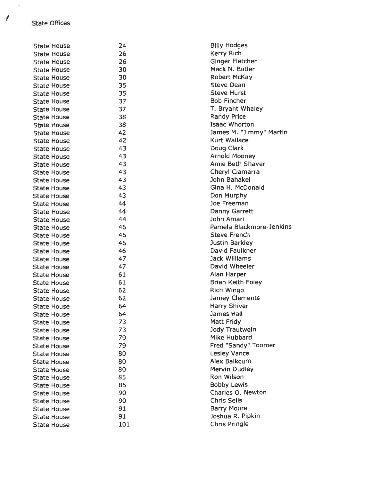State Offices

| <b>State House</b> | 24  | <b>Billy Hodges</b>      |
|--------------------|-----|--------------------------|
| <b>State House</b> | 26  | <b>Kerry Rich</b>        |
| <b>State House</b> | 26  | Ginger Fletcher          |
| <b>State House</b> | 30  | Mack N. Butler           |
| <b>State House</b> | 30  | Robert McKay             |
| <b>State House</b> | 35  | <b>Steve Dean</b>        |
| <b>State House</b> | 35  | <b>Steve Hurst</b>       |
| <b>State House</b> | 37  | <b>Bob Fincher</b>       |
| <b>State House</b> | 37  | T. Bryant Whaley         |
| <b>State House</b> | 38  | <b>Randy Price</b>       |
| <b>State House</b> | 38  | <b>Isaac Whorton</b>     |
| <b>State House</b> | 42  | James M. "Jimmy" Martin  |
| <b>State House</b> | 42  | <b>Kurt Wallace</b>      |
| <b>State House</b> | 43  | Doug Clark               |
| <b>State House</b> | 43  | <b>Arnold Mooney</b>     |
| <b>State House</b> | 43  | Amie Beth Shaver         |
| <b>State House</b> | 43  | Cheryl Ciamarra          |
| <b>State House</b> | 43  | John Bahakel             |
| <b>State House</b> | 43  | Gina H. McDonald         |
| <b>State House</b> | 43  | Don Murphy               |
| <b>State House</b> | 44  | Joe Freeman              |
| <b>State House</b> | 44  | <b>Danny Garrett</b>     |
| <b>State House</b> | 44  | John Amari               |
|                    | 46  | Pamela Blackmore-Jenkins |
| <b>State House</b> | 46  | <b>Steve French</b>      |
| <b>State House</b> | 46  | Justin Barkley           |
| <b>State House</b> | 46  | David Faulkner           |
| <b>State House</b> | 47  | <b>Jack Williams</b>     |
| <b>State House</b> | 47  | David Wheeler            |
| <b>State House</b> | 61  |                          |
| <b>State House</b> | 61  | Alan Harper              |
| <b>State House</b> |     | <b>Brian Keith Foley</b> |
| <b>State House</b> | 62  | Rich Wingo               |
| <b>State House</b> | 62  | <b>Jamey Clements</b>    |
| <b>State House</b> | 64  | Harry Shiver             |
| <b>State House</b> | 64  | James Hall               |
| <b>State House</b> | 73  | <b>Matt Fridy</b>        |
| <b>State House</b> | 73  | Jody Trautwein           |
| <b>State House</b> | 79  | <b>Mike Hubbard</b>      |
| <b>State House</b> | 79  | Fred "Sandy" Toomer      |
| <b>State House</b> | 80  | <b>Lesley Vance</b>      |
| <b>State House</b> | 80  | Alex Balkcum             |
| <b>State House</b> | 80  | <b>Mervin Dudley</b>     |
| <b>State House</b> | 85  | Ron Wilson               |
| <b>State House</b> | 85  | <b>Bobby Lewis</b>       |
| <b>State House</b> | 90  | Charles O. Newton        |
| <b>State House</b> | 90  | <b>Chris Sells</b>       |
| <b>State House</b> | 91  | <b>Barry Moore</b>       |
| <b>State House</b> | 91  | Joshua R. Pipkin         |
| <b>State House</b> | 101 | Chris Pringle            |

 $\tilde{\phantom{a}}$ 

 $\mathcal{A}$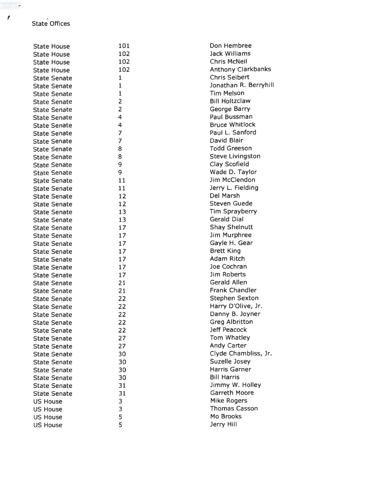<sup>f</sup>• State Offices

| <b>State House</b>  | 101            | Don Hembree                     |
|---------------------|----------------|---------------------------------|
| <b>State House</b>  | 102            | Jack Williams                   |
| <b>State House</b>  | 102            | <b>Chris McNeil</b>             |
| <b>State House</b>  | 102            | <b>Anthony Clarkbanks</b>       |
| <b>State Senate</b> | $\mathbf{1}$   | <b>Chris Seibert</b>            |
| <b>State Senate</b> | $\mathbf 1$    | Jonathan R. Berryhill           |
| <b>State Senate</b> | $\mathbf{1}$   | <b>Tim Melson</b>               |
| <b>State Senate</b> | 2              | <b>Bill Holtzclaw</b>           |
| <b>State Senate</b> | $\overline{2}$ | George Barry                    |
| <b>State Senate</b> | 4              | Paul Bussman                    |
|                     | 4              | <b>Bruce Whitlock</b>           |
| <b>State Senate</b> | $\overline{7}$ | Paul L. Sanford                 |
| <b>State Senate</b> | 7              | David Blair                     |
| <b>State Senate</b> |                | <b>Todd Greeson</b>             |
| <b>State Senate</b> | 8              | <b>Steve Livingston</b>         |
| <b>State Senate</b> | 8              | Clay Scofield                   |
| <b>State Senate</b> | 9              |                                 |
| <b>State Senate</b> | 9              | Wade D. Taylor<br>Jim McClendon |
| <b>State Senate</b> | 11             |                                 |
| <b>State Senate</b> | 11             | Jerry L. Fielding               |
| <b>State Senate</b> | 12             | Del Marsh                       |
| <b>State Senate</b> | 12             | <b>Steven Guede</b>             |
| <b>State Senate</b> | 13             | <b>Tim Sprayberry</b>           |
| <b>State Senate</b> | 13             | <b>Gerald Dial</b>              |
| <b>State Senate</b> | 17             | <b>Shay Shelnutt</b>            |
| <b>State Senate</b> | 17             | Jim Murphree                    |
| <b>State Senate</b> | 17             | Gayle H. Gear                   |
| <b>State Senate</b> | 17             | <b>Brett King</b>               |
| <b>State Senate</b> | 17             | Adam Ritch                      |
| <b>State Senate</b> | 17             | Joe Cochran                     |
| <b>State Senate</b> | 17             | Jim Roberts                     |
| <b>State Senate</b> | 21             | <b>Gerald Allen</b>             |
| <b>State Senate</b> | 21             | <b>Frank Chandler</b>           |
| <b>State Senate</b> | 22             | Stephen Sexton                  |
| <b>State Senate</b> | 22             | Harry D'Olive, Jr.              |
| <b>State Senate</b> | 22             | Danny B. Joyner                 |
| <b>State Senate</b> | 22             | <b>Greg Albritton</b>           |
| <b>State Senate</b> | 22             | <b>Jeff Peacock</b>             |
| <b>State Senate</b> | 27             | <b>Tom Whatley</b>              |
| <b>State Senate</b> | 27             | <b>Andy Carter</b>              |
| <b>State Senate</b> | 30             | Clyde Chambliss, Jr.            |
| <b>State Senate</b> | 30             | Suzelle Josey                   |
| <b>State Senate</b> | 30             | <b>Harris Garner</b>            |
| <b>State Senate</b> | 30             | <b>Bill Harris</b>              |
| <b>State Senate</b> | 31             | Jimmy W. Holley                 |
| <b>State Senate</b> | 31             | <b>Garreth Moore</b>            |
| <b>US House</b>     | 3              | <b>Mike Rogers</b>              |
| <b>US House</b>     | 3              | <b>Thomas Casson</b>            |
| <b>US House</b>     | 5              | Mo Brooks                       |
| <b>US House</b>     | 5              | Jerry Hill                      |
|                     |                |                                 |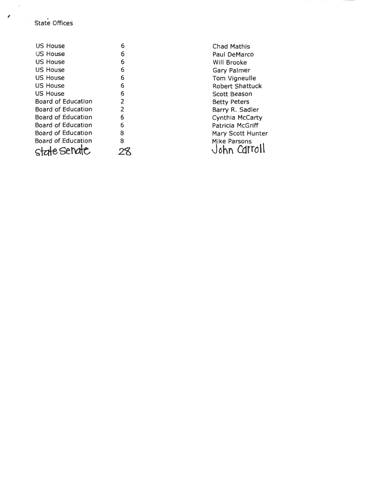*<sup>1</sup>*. State Offices

 $\overline{\phantom{a}}$ 

| <b>US House</b>           | 6              |
|---------------------------|----------------|
| US House                  | 6              |
| <b>US House</b>           | 6              |
| US House                  | 6              |
| <b>US House</b>           | 6              |
| US House                  | 6              |
| US House                  | 6              |
| <b>Board of Education</b> | 2              |
| <b>Board of Education</b> | $\overline{2}$ |
| <b>Board of Education</b> | 6              |
| Board of Education        | 6              |
| <b>Board of Education</b> | 8              |
| <b>Board of Education</b> | 8              |
| state senate              |                |

Chad Mathis Paul DeMarco Will Brooke Gary Palmer Tom Vigneulle Robert Shattuck Scott Beason Betty Peters Barry R. Sadler Cynthia McCarty Patricia McGriff Mary Scott Hunter<br>Mike Parsons  $3$  John Carroll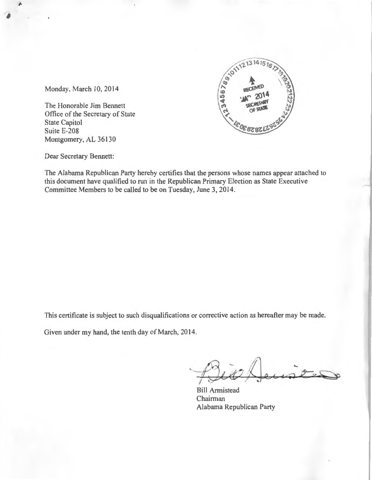

Monday, March 10, 2014

The Honorable Jim Bennett Office of the Secretary of State State Capitol Suite E-208 Montgomery, AL 36130

Dear Secretary Bennett:

The Alabama Republican Party hereby certifies that the persons whose names appear attached to this document have qualified to run in the Republican Primary Election as State Executive Committee Members to be called to be on Tuesday, June 3, 2014.

This certificate is subject to such disqualifications or corrective action as hereafter may be made.

Given under my hand, the tenth day of March, 2014.

Bill Armistead Chairman Alabama Republican Party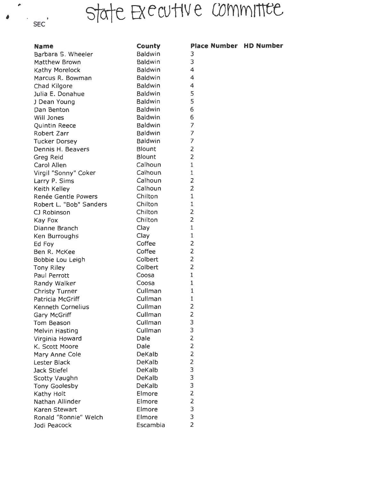## state Executive committee

| <b>Name</b>             | County         | Place Number HD Number |  |
|-------------------------|----------------|------------------------|--|
| Barbara S. Wheeler      | <b>Baldwin</b> | 3                      |  |
| <b>Matthew Brown</b>    | Baldwin        | 3                      |  |
| Kathy Morelock          | <b>Baldwin</b> | 4                      |  |
| Marcus R. Bowman        | <b>Baldwin</b> | 4                      |  |
| Chad Kilgore            | <b>Baldwin</b> | 4                      |  |
| Julia E. Donahue        | <b>Baldwin</b> | 5                      |  |
| J Dean Young            | <b>Baldwin</b> | 5                      |  |
| Dan Benton              | <b>Baldwin</b> | 6                      |  |
| Will Jones              | <b>Baldwin</b> | 6                      |  |
| Quintin Reece           | <b>Baldwin</b> | $\overline{7}$         |  |
| Robert Zarr             | <b>Baldwin</b> | $\overline{7}$         |  |
| <b>Tucker Dorsey</b>    | <b>Baldwin</b> | $\overline{7}$         |  |
| Dennis H. Beavers       | <b>Blount</b>  | $\overline{2}$         |  |
| Greg Reid               | <b>Blount</b>  | $\overline{2}$         |  |
| Carol Allen             | Calhoun        | $\mathbf{1}$           |  |
| Virgil "Sonny" Coker    | Calhoun        | $\mathbf{1}$           |  |
| Larry P. Sims           | Calhoun        | $\overline{2}$         |  |
| Keith Kelley            | Calhoun        | $\overline{2}$         |  |
| Renée Gentle Powers     | Chilton        | $\mathbf{1}$           |  |
| Robert L. "Bob" Sanders | Chilton        | $\mathbf 1$            |  |
| CJ Robinson             | Chilton        | $\overline{2}$         |  |
| Kay Fox                 | Chilton        | $\overline{2}$         |  |
| Dianne Branch           | Clay           | $\mathbf 1$            |  |
| Ken Burroughs           | Clay           | $\mathbf 1$            |  |
| Ed Foy                  | Coffee         | $\overline{2}$         |  |
| Ben R. McKee            | Coffee         | $\overline{2}$         |  |
| Bobbie Lou Leigh        | Colbert        | $\overline{2}$         |  |
| Tony Riley              | Colbert        | $\overline{2}$         |  |
| Paul Perrott            | Coosa          | $\mathbf{1}$           |  |
| Randy Walker            | Coosa          | $\mathbf 1$            |  |
| <b>Christy Turner</b>   | Cullman        | 1                      |  |
| Patricia McGriff        | Cullman        | $\mathbf{1}$           |  |
| Kenneth Cornelius       | Cullman        | $\overline{2}$         |  |
| <b>Gary McGriff</b>     | Cullman        | 2                      |  |
| Tom Beason              | Cullman        | 3                      |  |
| <b>Melvin Hasting</b>   | Cullman        | 3                      |  |
| Virginia Howard         | Dale           | $\overline{2}$         |  |
| K. Scott Moore          | Dale           | $\overline{2}$         |  |
| Mary Anne Cole          | DeKalb         | $\overline{2}$         |  |
| Lester Black            | DeKalb         | $\overline{2}$         |  |
| Jack Stiefel            | DeKalb         | 3                      |  |
| Scotty Vaughn           | DeKalb         | 3                      |  |
| <b>Tony Goolesby</b>    | DeKalb         | 3                      |  |
| Kathy Holt              | Elmore         | $\overline{2}$         |  |
| Nathan Allinder         | Elmore         | $\overline{2}$         |  |
| Karen Stewart           | Elmore         | 3                      |  |
| Ronald "Ronnie" Welch   | Elmore         | 3                      |  |
| Jodi Peacock            | Escambia       | $\overline{2}$         |  |

 $\bullet$   $\cdot$   $\cdot$   $\cdot$   $\cdot$   $\cdot$   $\cdot$ 

 $\blacktriangle$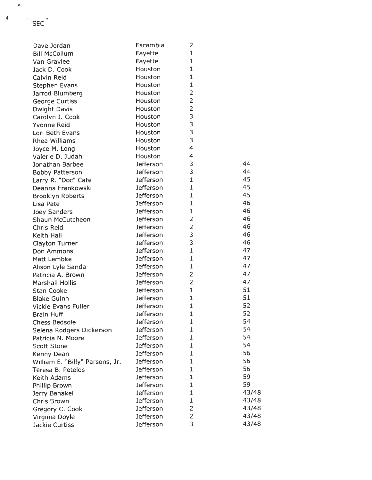| Dave Jordan                                   | Escambia         | 2              |       |
|-----------------------------------------------|------------------|----------------|-------|
| <b>Bill McCollum</b>                          | Fayette          | 1              |       |
| Van Gravlee                                   | Fayette          | 1              |       |
| Jack D. Cook                                  | Houston          | $\mathbf{1}$   |       |
| Calvin Reid                                   | Houston          | $\mathbf{1}$   |       |
| <b>Stephen Evans</b>                          | Houston          | $\mathbf 1$    |       |
| Jarrod Blumberg                               | Houston          | 2              |       |
| <b>George Curtiss</b>                         | Houston          | $\overline{2}$ |       |
| <b>Dwight Davis</b>                           | Houston          | $\overline{2}$ |       |
| Carolyn J. Cook                               | Houston          | 3              |       |
| Yvonne Reid                                   | Houston          | 3              |       |
| Lori Beth Evans                               | Houston          | 3              |       |
| Rhea Williams                                 | Houston          | 3              |       |
| Joyce M. Long                                 | Houston          | $\overline{4}$ |       |
| Valerie D. Judah                              | Houston          | $\overline{4}$ |       |
| Jonathan Barbee                               | <b>Jefferson</b> | 3              | 44    |
| <b>Bobby Patterson</b>                        | Jefferson        | 3              | 44    |
| Larry R. "Doc" Cate                           | Jefferson        | $\mathbf{1}$   | 45    |
| Deanna Frankowski                             | <b>Jefferson</b> | $\mathbf{1}$   | 45    |
| <b>Brooklyn Roberts</b>                       | Jefferson        | $\mathbf{1}$   | 45    |
| Lisa Pate                                     | <b>Jefferson</b> | $\mathbf{1}$   | 46    |
| Joey Sanders                                  | <b>Jefferson</b> | $\mathbf 1$    | 46    |
| Shaun McCutcheon                              | <b>Jefferson</b> | $\overline{2}$ | 46    |
| Chris Reid                                    | Jefferson        | $\overline{2}$ | 46    |
| Keith Hall                                    | <b>Jefferson</b> | 3              | 46    |
| <b>Clayton Turner</b>                         | Jefferson        | 3              | 46    |
| Don Ammons                                    | Jefferson        | $\mathbf{1}$   | 47    |
| Matt Lembke                                   | Jefferson        | $\mathbf{1}$   | 47    |
| Alison Lyle Sanda                             | Jefferson        | $\mathbf{1}$   | 47    |
| Patricia A. Brown                             | Jefferson        | 2              | 47    |
| <b>Marshall Hollis</b>                        | <b>Jefferson</b> | $\overline{2}$ | 47    |
| <b>Stan Cooke</b>                             | Jefferson        | $\mathbf{1}$   | 51    |
| <b>Blake Guinn</b>                            | <b>Jefferson</b> | $\mathbf{1}$   | 51    |
| <b>Vickie Evans Fuller</b>                    | <b>Jefferson</b> | $\mathbf 1$    | 52    |
| <b>Brain Huff</b>                             | <b>Jefferson</b> | ı              | 52    |
| <b>Chess Bedsole</b>                          | Jefferson        | $\mathbf 1$    | 54    |
| Selena Rodgers Dickerson                      | <b>Jefferson</b> | $\mathbf 1$    | 54    |
| Patricia N. Moore                             | <b>Jefferson</b> | $\mathbf{1}$   | 54    |
| <b>Scott Stone</b>                            | <b>Jefferson</b> | 1              | 54    |
|                                               | <b>Jefferson</b> | $\mathbf{1}$   | 56    |
| Kenny Dean<br>William E. "Billy" Parsons, Jr. | <b>Jefferson</b> | 1              | 56    |
|                                               | <b>Jefferson</b> | 1              | 56    |
| Teresa B. Petelos                             | Jefferson        | $\mathbf 1$    | 59    |
| <b>Keith Adams</b>                            | <b>Jefferson</b> | $\mathbf{1}$   | 59    |
| Phillip Brown                                 | <b>Jefferson</b> | $\mathbf 1$    | 43/48 |
| Jerry Bahakel                                 | <b>Jefferson</b> | $\mathbf 1$    | 43/48 |
| Chris Brown                                   | <b>Jefferson</b> | $\overline{2}$ | 43/48 |
| Gregory C. Cook                               |                  | $\overline{2}$ | 43/48 |
| Virginia Doyle                                | Jefferson        | 3              | 43/48 |
| Jackie Curtiss                                | <b>Jefferson</b> |                |       |

,.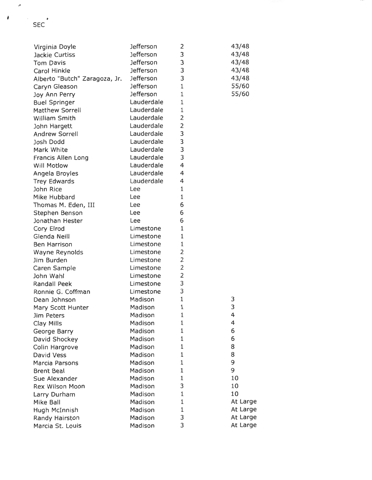| Virginia Doyle                | Jefferson  | 2                       | 43/48    |
|-------------------------------|------------|-------------------------|----------|
| Jackie Curtiss                | Jefferson  | 3                       | 43/48    |
| <b>Tom Davis</b>              | Jefferson  | 3                       | 43/48    |
| Carol Hinkle                  | Jefferson  | 3                       | 43/48    |
| Alberto "Butch" Zaragoza, Jr. | Jefferson  | 3                       | 43/48    |
| Caryn Gleason                 | Jefferson  | $\mathbf 1$             | 55/60    |
| Joy Ann Perry                 | Jefferson  | $\mathbf{1}$            | 55/60    |
| <b>Buel Springer</b>          | Lauderdale | $\mathbf{1}$            |          |
| Matthew Sorrell               | Lauderdale | $\mathbf 1$             |          |
| William Smith                 | Lauderdale | 2                       |          |
| John Hargett                  | Lauderdale | $\overline{2}$          |          |
| Andrew Sorrell                | Lauderdale | 3                       |          |
| Josh Dodd                     | Lauderdale | 3                       |          |
| Mark White                    | Lauderdale | 3                       |          |
| Francis Allen Long            | Lauderdale | 3                       |          |
| <b>Will Motlow</b>            | Lauderdale | 4                       |          |
| Angela Broyles                | Lauderdale | 4                       |          |
| <b>Trey Edwards</b>           | Lauderdale | 4                       |          |
| John Rice                     | Lee        | $\mathbf 1$             |          |
| Mike Hubbard                  | Lee        | 1                       |          |
| Thomas M. Eden, III           | Lee        | 6                       |          |
| Stephen Benson                | Lee        | 6                       |          |
| Jonathan Hester               | Lee        | 6                       |          |
| Cory Elrod                    | Limestone  | $\mathbf 1$             |          |
| Glenda Neill                  | Limestone  | $\mathbf 1$             |          |
| <b>Ben Harrison</b>           | Limestone  | $\mathbf 1$             |          |
| Wayne Reynolds                | Limestone  | $\overline{2}$          |          |
| Jim Burden                    | Limestone  | $\overline{\mathbf{c}}$ |          |
| Caren Sample                  | Limestone  | $\overline{2}$          |          |
| John Wahl                     | Limestone  | $\overline{2}$          |          |
| Randall Peek                  | Limestone  | 3                       |          |
| Ronnie G. Coffman             | Limestone  | 3                       |          |
| Dean Johnson                  | Madison    | $\mathbf 1$             | 3        |
| Mary Scott Hunter             | Madison    | $\mathbf 1$             | 3        |
| Jim Peters                    | Madison    | $1\,$                   | Δ        |
| Clay Mills                    | Madison    | 1                       | 4        |
| George Barry                  | Madison    | $\mathbf 1$             | 6        |
| David Shockey                 | Madison    | 1                       | 6        |
| Colin Hargrove                | Madison    | 1                       | 8        |
| David Vess                    | Madison    | $\mathbf 1$             | 8        |
| <b>Marcia Parsons</b>         | Madison    | $\mathbf 1$             | 9        |
| <b>Brent Beal</b>             | Madison    | $\mathbf 1$             | 9        |
| Sue Alexander                 | Madison    | $\mathbf 1$             | 10       |
| Rex Wilson Moon               | Madison    | 3                       | 10       |
| Larry Durham                  | Madison    | 1                       | 10       |
| Mike Ball                     | Madison    | 1                       | At Large |
| Hugh McInnish                 | Madison    | $\mathbf 1$             | At Large |
| Randy Hairston                | Madison    | 3                       | At Large |
| Marcia St. Louis              | Madison    | 3                       | At Large |

,.

I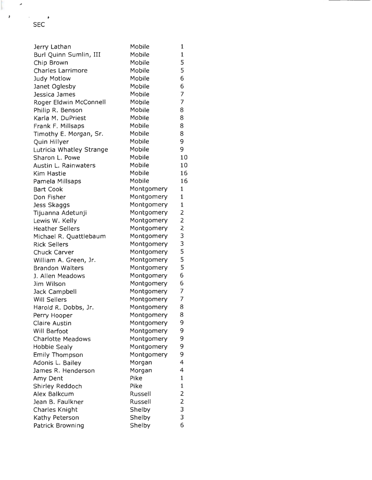| Jerry Lathan             | Mobile        | 1              |
|--------------------------|---------------|----------------|
| Burl Quinn Sumlin, III   | Mobile        | $\mathbf{1}$   |
| Chip Brown               | Mobile        | 5              |
| <b>Charles Larrimore</b> | Mobile        | 5              |
| <b>Judy Motlow</b>       | Mobile        | 6              |
| Janet Oglesby            | Mobile        | 6              |
| Jessica James            | Mobile        | $\overline{7}$ |
| Roger Eldwin McConnell   | Mobile        | $\overline{7}$ |
| Philip R. Benson         | Mobile        | 8              |
| Karla M. DuPriest        | Mobile        | 8              |
| Frank F. Millsaps        | Mobile        | 8              |
| Timothy E. Morgan, Sr.   | <b>Mobile</b> | 8              |
| Quin Hillyer             | <b>Mobile</b> | 9              |
| Lutricia Whatley Strange | Mobile        | 9              |
| Sharon L. Powe           | Mobile        | 10             |
| Austin L. Rainwaters     | Mobile        | 10             |
| Kim Hastie               | Mobile        | 16             |
| Pamela Millsaps          | Mobile        | 16             |
| <b>Bart Cook</b>         | Montgomery    | $\mathbf 1$    |
| Don Fisher               | Montgomery    | $\mathbf{1}$   |
| <b>Jess Skaggs</b>       | Montgomery    | $\mathbf 1$    |
| Tijuanna Adetunji        | Montgomery    | $\overline{2}$ |
| Lewis W. Kelly           | Montgomery    | $\overline{2}$ |
| <b>Heather Sellers</b>   | Montgomery    | $\overline{2}$ |
| Michael R. Quattlebaum   | Montgomery    | 3              |
| <b>Rick Sellers</b>      | Montgomery    | 3              |
| <b>Chuck Carver</b>      | Montgomery    | 5              |
| William A. Green, Jr.    | Montgomery    | 5              |
| <b>Brandon Walters</b>   | Montgomery    | 5              |
| J. Allen Meadows         | Montgomery    | 6              |
| Jim Wilson               | Montgomery    | 6              |
| Jack Campbell            | Montgomery    | $\overline{7}$ |
| <b>Will Sellers</b>      | Montgomery    | 7              |
| Harold R. Dobbs, Jr.     | Montgomery    | 8              |
| Perry Hooper             | Montgomery    | 8              |
| <b>Claire Austin</b>     | Montgomery    | 9              |
| Will Barfoot             | Montgomery    | 9              |
| <b>Charlotte Meadows</b> | Montgomery    | 9              |
| <b>Hobbie Sealy</b>      | Montgomery    | 9              |
| <b>Emily Thompson</b>    | Montgomery    | 9              |
| Adonis L. Bailey         | Morgan        | 4              |
| James R. Henderson       | Morgan        | 4              |
| Amy Dent                 | Pike          | $\mathbf{1}$   |
| Shirley Reddoch          | Pike          | $\mathbf 1$    |
| Alex Balkcum             | Russell       | $\overline{2}$ |
| Jean B. Faulkner         | Russell       | $\overline{2}$ |
| Charles Knight           | Shelby        | 3              |
| Kathy Peterson           | Shelby        | 3              |
| Patrick Browning         | Shelby        | 6              |
|                          |               |                |

..